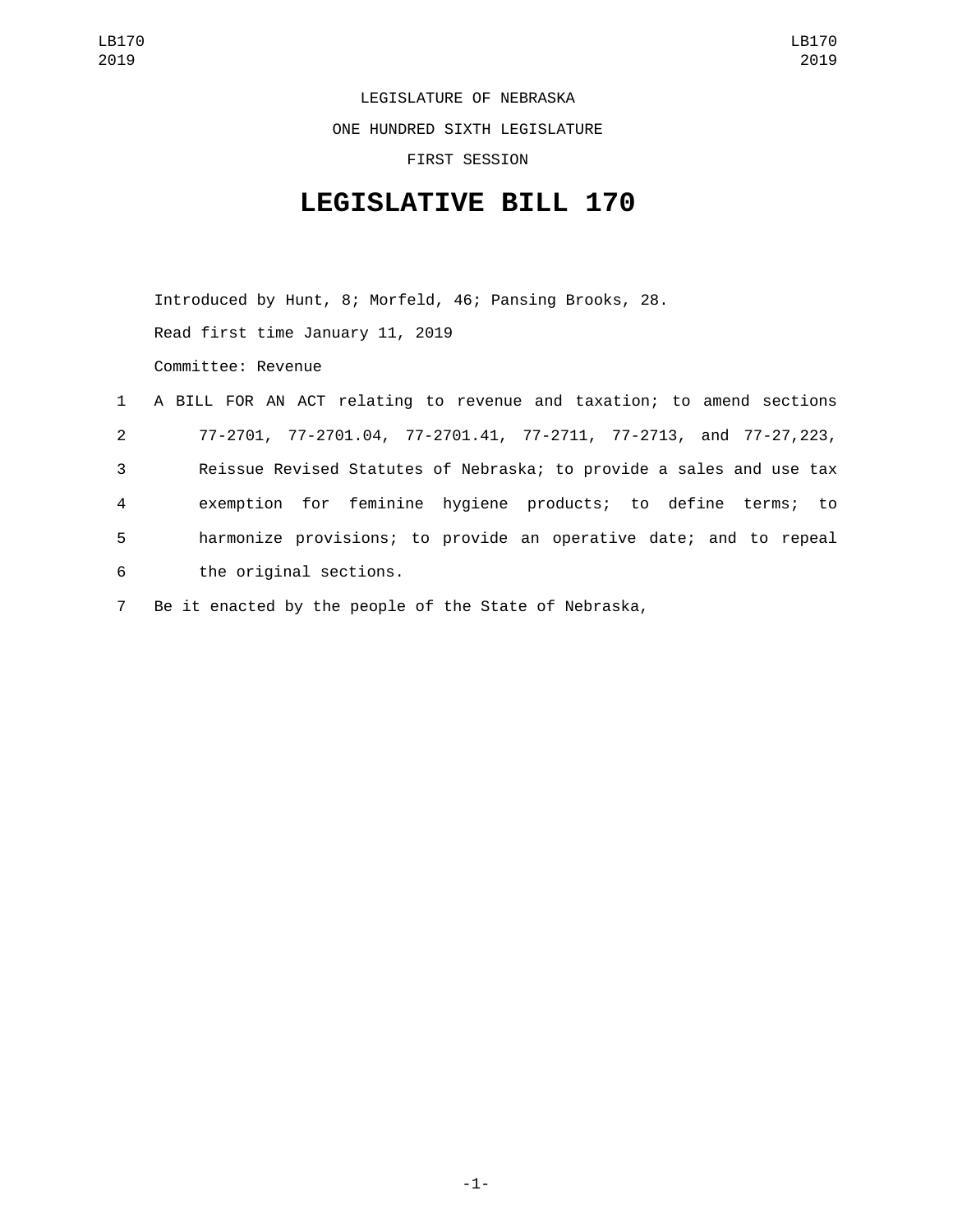LEGISLATURE OF NEBRASKA

ONE HUNDRED SIXTH LEGISLATURE

FIRST SESSION

## **LEGISLATIVE BILL 170**

Introduced by Hunt, 8; Morfeld, 46; Pansing Brooks, 28. Read first time January 11, 2019 Committee: Revenue

|                | 1 A BILL FOR AN ACT relating to revenue and taxation; to amend sections |
|----------------|-------------------------------------------------------------------------|
| $2^{\circ}$    | 77-2701, 77-2701.04, 77-2701.41, 77-2711, 77-2713, and 77-27, 223,      |
| 3              | Reissue Revised Statutes of Nebraska; to provide a sales and use tax    |
| $\overline{4}$ | exemption for feminine hygiene products; to define terms; to            |
| 5              | harmonize provisions; to provide an operative date; and to repeal       |
| 6              | the original sections.                                                  |

7 Be it enacted by the people of the State of Nebraska,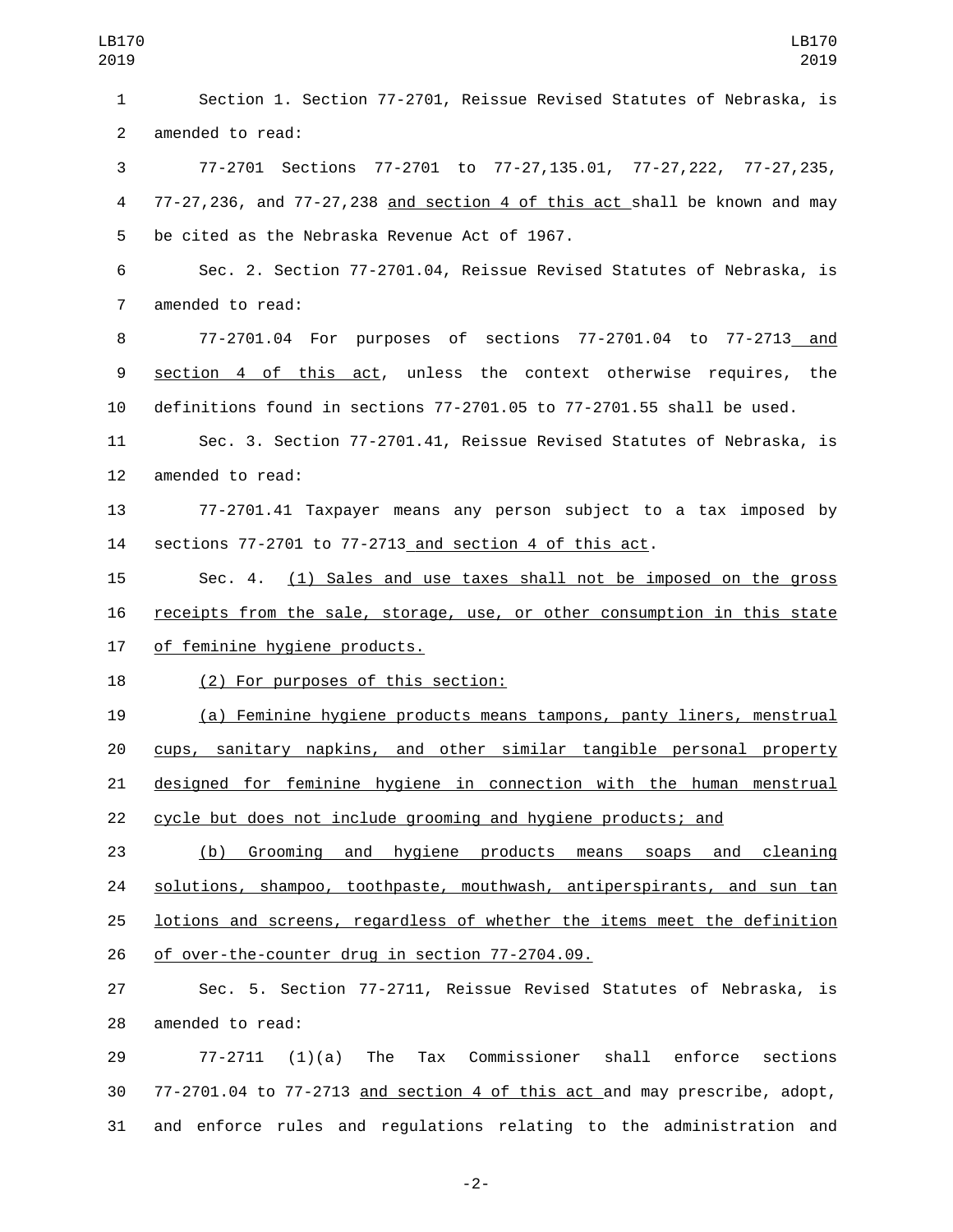Section 1. Section 77-2701, Reissue Revised Statutes of Nebraska, is 2 amended to read: 77-2701 Sections 77-2701 to 77-27,135.01, 77-27,222, 77-27,235, 77-27,236, and 77-27,238 and section 4 of this act shall be known and may 5 be cited as the Nebraska Revenue Act of 1967. Sec. 2. Section 77-2701.04, Reissue Revised Statutes of Nebraska, is 7 amended to read: 77-2701.04 For purposes of sections 77-2701.04 to 77-2713 and section 4 of this act, unless the context otherwise requires, the definitions found in sections 77-2701.05 to 77-2701.55 shall be used. Sec. 3. Section 77-2701.41, Reissue Revised Statutes of Nebraska, is 12 amended to read: 77-2701.41 Taxpayer means any person subject to a tax imposed by sections 77-2701 to 77-2713 and section 4 of this act. Sec. 4. (1) Sales and use taxes shall not be imposed on the gross receipts from the sale, storage, use, or other consumption in this state 17 of feminine hygiene products. 18 (2) For purposes of this section: (a) Feminine hygiene products means tampons, panty liners, menstrual cups, sanitary napkins, and other similar tangible personal property designed for feminine hygiene in connection with the human menstrual cycle but does not include grooming and hygiene products; and (b) Grooming and hygiene products means soaps and cleaning 24 solutions, shampoo, toothpaste, mouthwash, antiperspirants, and sun tan lotions and screens, regardless of whether the items meet the definition 26 of over-the-counter drug in section 77-2704.09. Sec. 5. Section 77-2711, Reissue Revised Statutes of Nebraska, is 28 amended to read: 77-2711 (1)(a) The Tax Commissioner shall enforce sections

 77-2701.04 to 77-2713 and section 4 of this act and may prescribe, adopt, and enforce rules and regulations relating to the administration and

-2-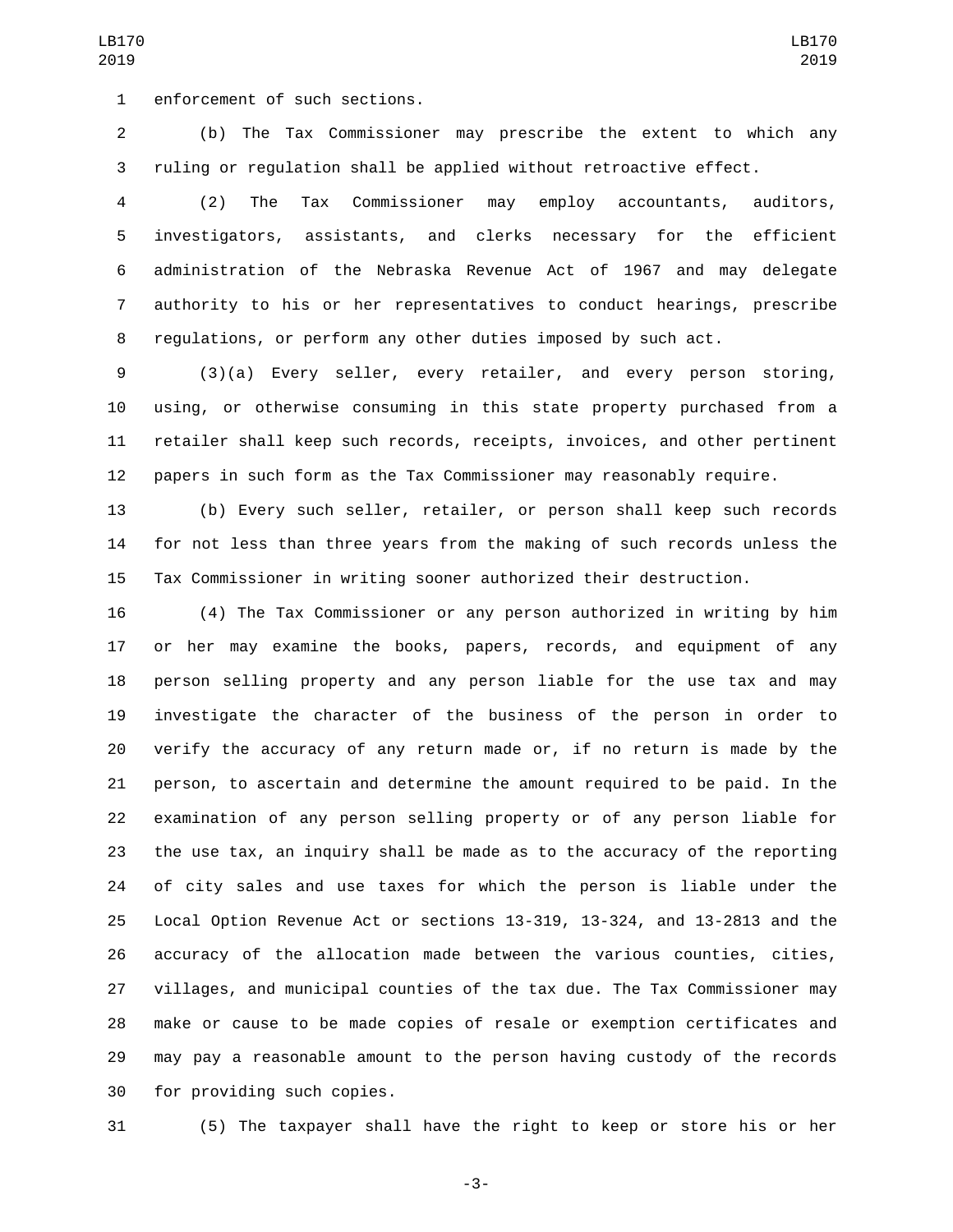1 enforcement of such sections.

 (b) The Tax Commissioner may prescribe the extent to which any ruling or regulation shall be applied without retroactive effect.

 (2) The Tax Commissioner may employ accountants, auditors, investigators, assistants, and clerks necessary for the efficient administration of the Nebraska Revenue Act of 1967 and may delegate authority to his or her representatives to conduct hearings, prescribe regulations, or perform any other duties imposed by such act.

 (3)(a) Every seller, every retailer, and every person storing, using, or otherwise consuming in this state property purchased from a retailer shall keep such records, receipts, invoices, and other pertinent papers in such form as the Tax Commissioner may reasonably require.

 (b) Every such seller, retailer, or person shall keep such records for not less than three years from the making of such records unless the Tax Commissioner in writing sooner authorized their destruction.

 (4) The Tax Commissioner or any person authorized in writing by him or her may examine the books, papers, records, and equipment of any person selling property and any person liable for the use tax and may investigate the character of the business of the person in order to verify the accuracy of any return made or, if no return is made by the person, to ascertain and determine the amount required to be paid. In the examination of any person selling property or of any person liable for the use tax, an inquiry shall be made as to the accuracy of the reporting of city sales and use taxes for which the person is liable under the Local Option Revenue Act or sections 13-319, 13-324, and 13-2813 and the accuracy of the allocation made between the various counties, cities, villages, and municipal counties of the tax due. The Tax Commissioner may make or cause to be made copies of resale or exemption certificates and may pay a reasonable amount to the person having custody of the records 30 for providing such copies.

(5) The taxpayer shall have the right to keep or store his or her

-3-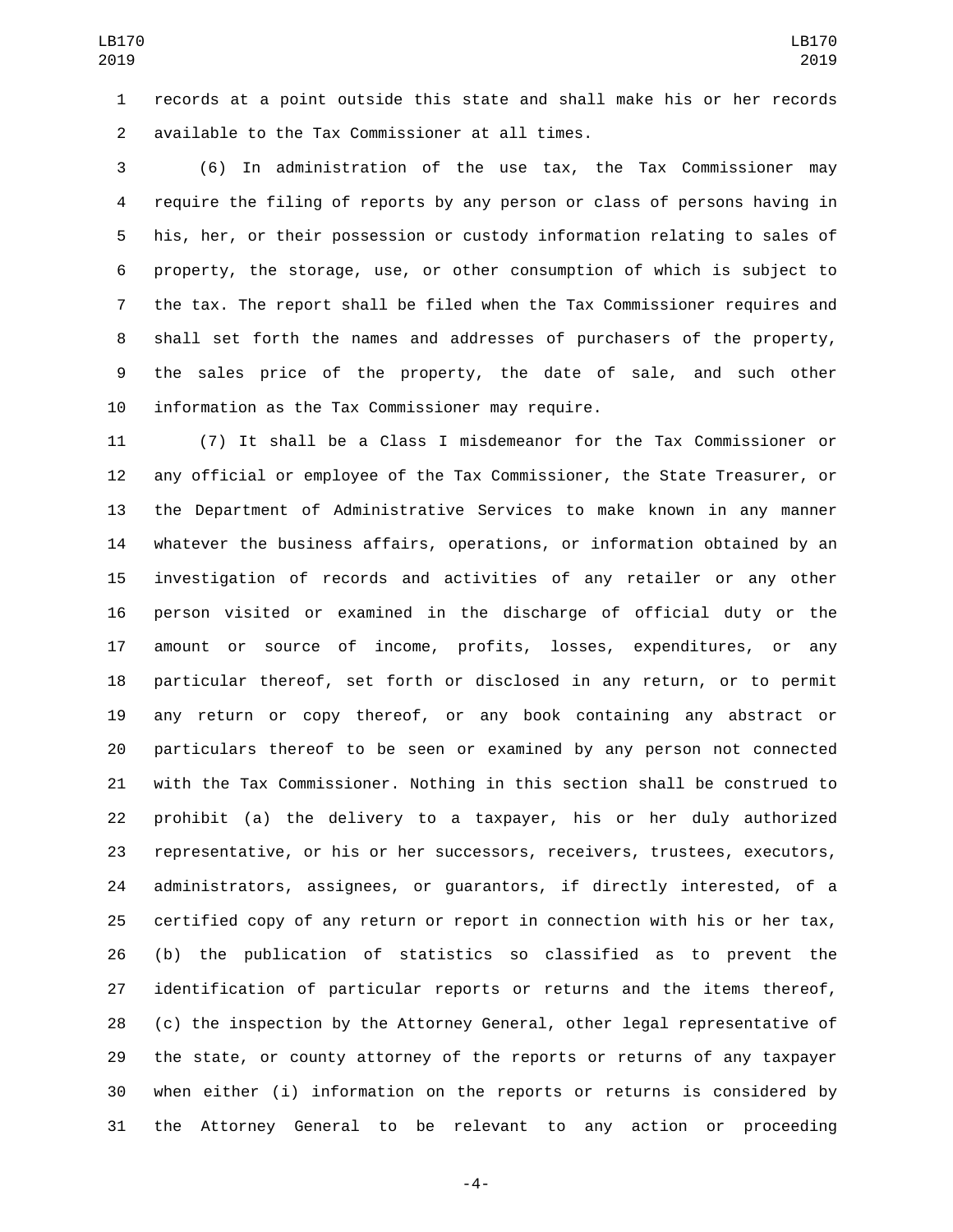records at a point outside this state and shall make his or her records available to the Tax Commissioner at all times.2

 (6) In administration of the use tax, the Tax Commissioner may require the filing of reports by any person or class of persons having in his, her, or their possession or custody information relating to sales of property, the storage, use, or other consumption of which is subject to the tax. The report shall be filed when the Tax Commissioner requires and shall set forth the names and addresses of purchasers of the property, the sales price of the property, the date of sale, and such other 10 information as the Tax Commissioner may require.

 (7) It shall be a Class I misdemeanor for the Tax Commissioner or any official or employee of the Tax Commissioner, the State Treasurer, or the Department of Administrative Services to make known in any manner whatever the business affairs, operations, or information obtained by an investigation of records and activities of any retailer or any other person visited or examined in the discharge of official duty or the amount or source of income, profits, losses, expenditures, or any particular thereof, set forth or disclosed in any return, or to permit any return or copy thereof, or any book containing any abstract or particulars thereof to be seen or examined by any person not connected with the Tax Commissioner. Nothing in this section shall be construed to prohibit (a) the delivery to a taxpayer, his or her duly authorized representative, or his or her successors, receivers, trustees, executors, administrators, assignees, or guarantors, if directly interested, of a certified copy of any return or report in connection with his or her tax, (b) the publication of statistics so classified as to prevent the identification of particular reports or returns and the items thereof, (c) the inspection by the Attorney General, other legal representative of the state, or county attorney of the reports or returns of any taxpayer when either (i) information on the reports or returns is considered by the Attorney General to be relevant to any action or proceeding

-4-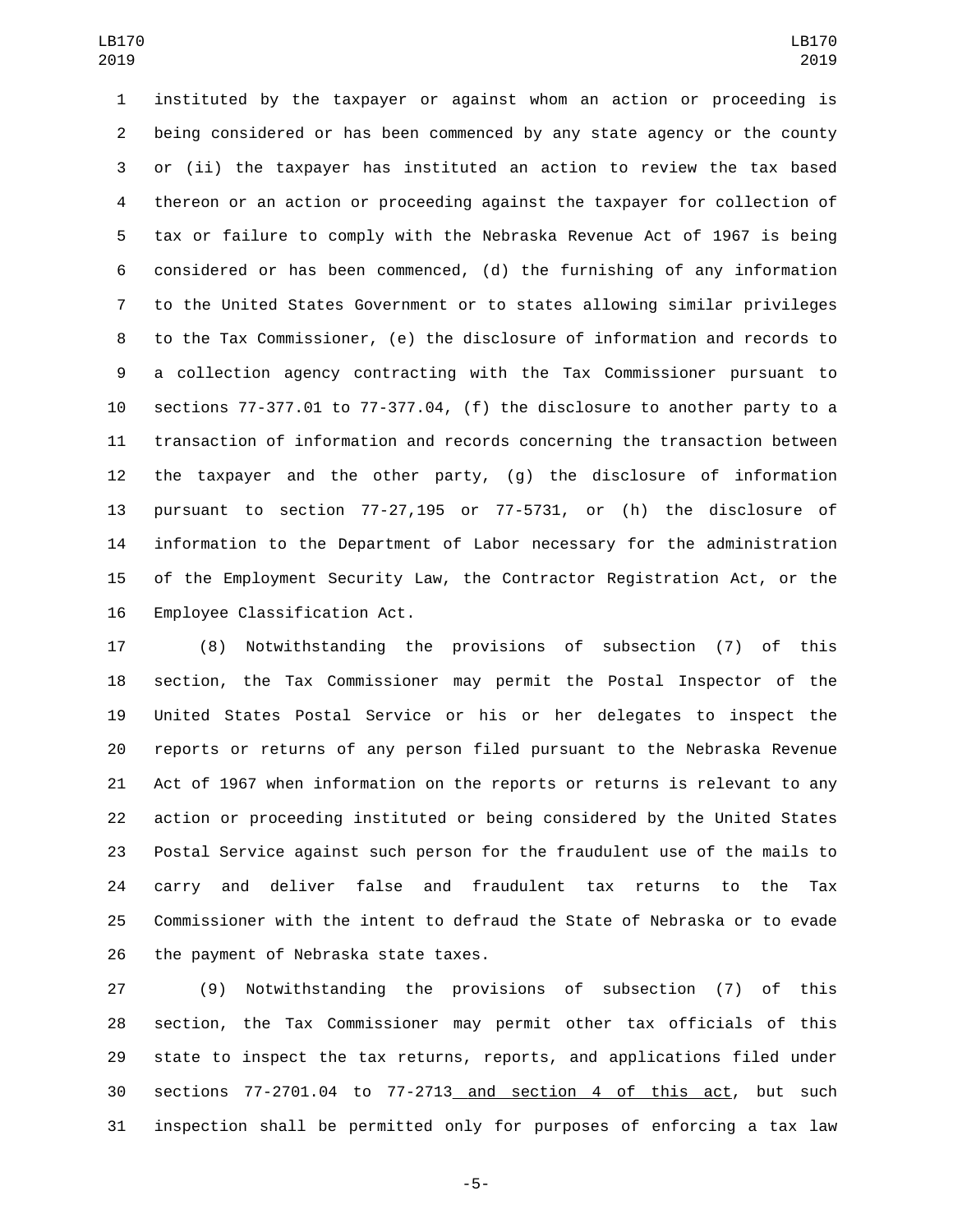instituted by the taxpayer or against whom an action or proceeding is being considered or has been commenced by any state agency or the county or (ii) the taxpayer has instituted an action to review the tax based thereon or an action or proceeding against the taxpayer for collection of tax or failure to comply with the Nebraska Revenue Act of 1967 is being considered or has been commenced, (d) the furnishing of any information to the United States Government or to states allowing similar privileges to the Tax Commissioner, (e) the disclosure of information and records to a collection agency contracting with the Tax Commissioner pursuant to sections 77-377.01 to 77-377.04, (f) the disclosure to another party to a transaction of information and records concerning the transaction between the taxpayer and the other party, (g) the disclosure of information pursuant to section 77-27,195 or 77-5731, or (h) the disclosure of information to the Department of Labor necessary for the administration of the Employment Security Law, the Contractor Registration Act, or the 16 Employee Classification Act.

 (8) Notwithstanding the provisions of subsection (7) of this section, the Tax Commissioner may permit the Postal Inspector of the United States Postal Service or his or her delegates to inspect the reports or returns of any person filed pursuant to the Nebraska Revenue Act of 1967 when information on the reports or returns is relevant to any action or proceeding instituted or being considered by the United States Postal Service against such person for the fraudulent use of the mails to carry and deliver false and fraudulent tax returns to the Tax Commissioner with the intent to defraud the State of Nebraska or to evade 26 the payment of Nebraska state taxes.

 (9) Notwithstanding the provisions of subsection (7) of this section, the Tax Commissioner may permit other tax officials of this state to inspect the tax returns, reports, and applications filed under sections 77-2701.04 to 77-2713 and section 4 of this act, but such inspection shall be permitted only for purposes of enforcing a tax law

-5-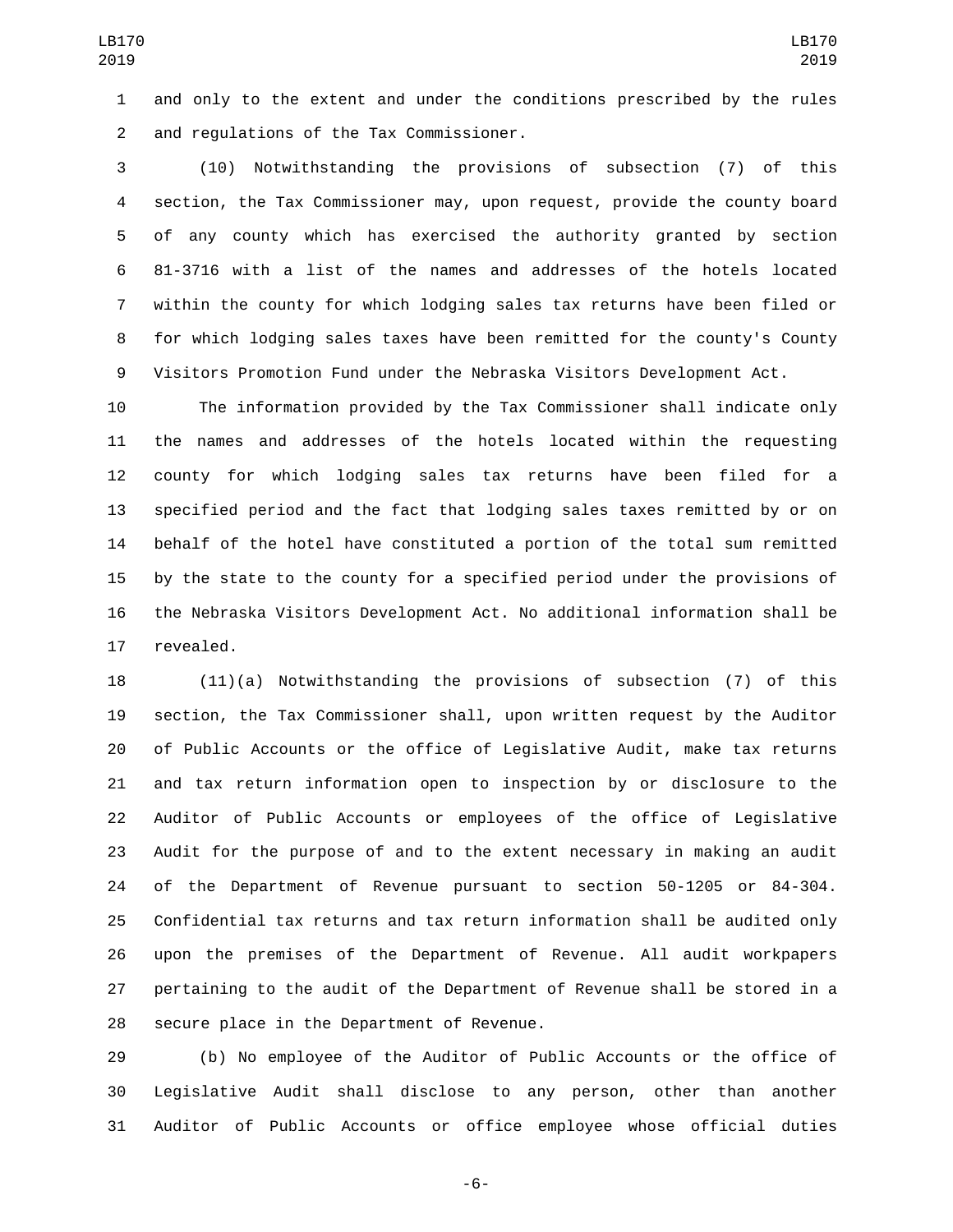and only to the extent and under the conditions prescribed by the rules and regulations of the Tax Commissioner.2

 (10) Notwithstanding the provisions of subsection (7) of this section, the Tax Commissioner may, upon request, provide the county board of any county which has exercised the authority granted by section 81-3716 with a list of the names and addresses of the hotels located within the county for which lodging sales tax returns have been filed or for which lodging sales taxes have been remitted for the county's County Visitors Promotion Fund under the Nebraska Visitors Development Act.

 The information provided by the Tax Commissioner shall indicate only the names and addresses of the hotels located within the requesting county for which lodging sales tax returns have been filed for a specified period and the fact that lodging sales taxes remitted by or on behalf of the hotel have constituted a portion of the total sum remitted by the state to the county for a specified period under the provisions of the Nebraska Visitors Development Act. No additional information shall be 17 revealed.

 (11)(a) Notwithstanding the provisions of subsection (7) of this section, the Tax Commissioner shall, upon written request by the Auditor of Public Accounts or the office of Legislative Audit, make tax returns and tax return information open to inspection by or disclosure to the Auditor of Public Accounts or employees of the office of Legislative Audit for the purpose of and to the extent necessary in making an audit of the Department of Revenue pursuant to section 50-1205 or 84-304. Confidential tax returns and tax return information shall be audited only upon the premises of the Department of Revenue. All audit workpapers pertaining to the audit of the Department of Revenue shall be stored in a 28 secure place in the Department of Revenue.

 (b) No employee of the Auditor of Public Accounts or the office of Legislative Audit shall disclose to any person, other than another Auditor of Public Accounts or office employee whose official duties

-6-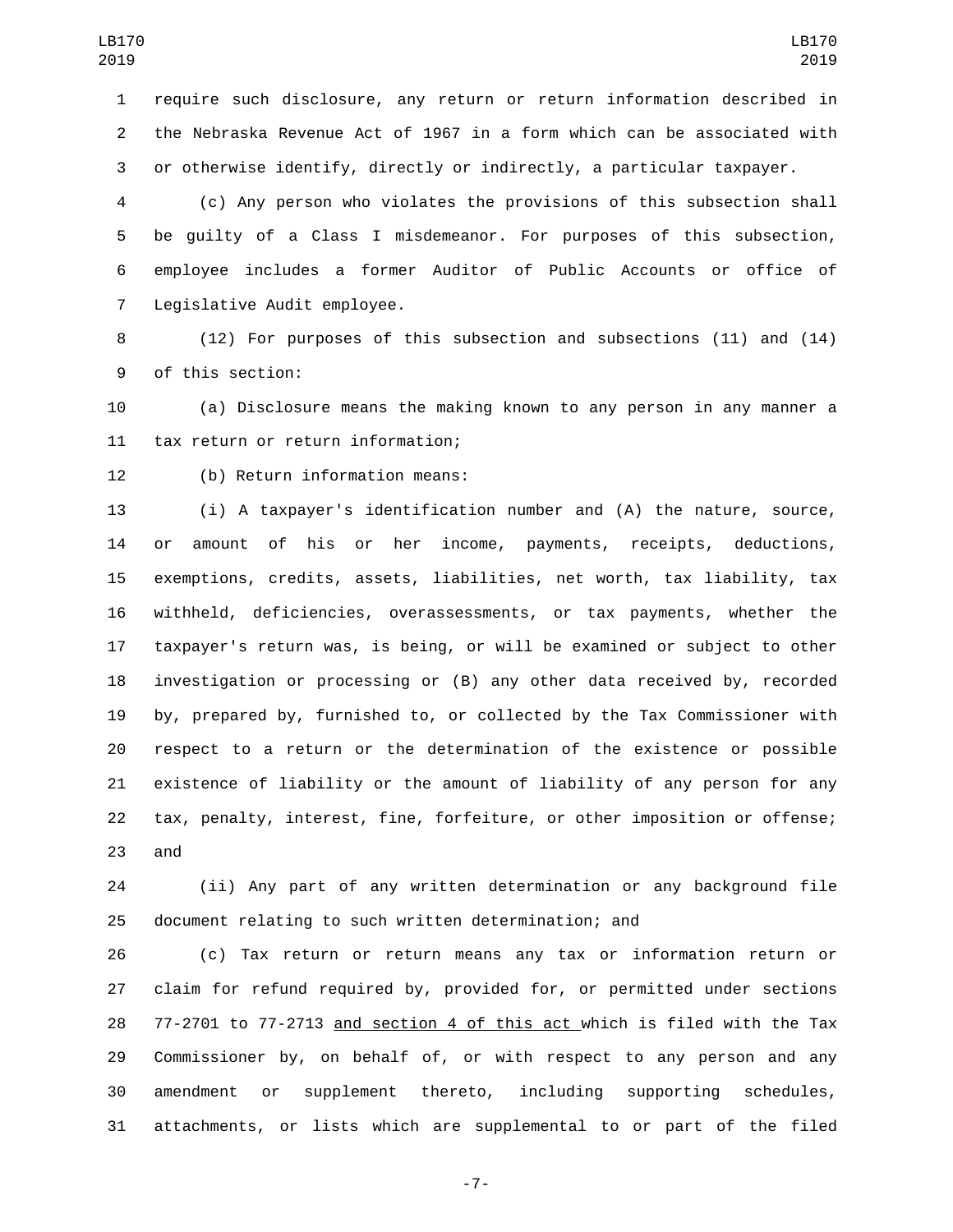require such disclosure, any return or return information described in the Nebraska Revenue Act of 1967 in a form which can be associated with or otherwise identify, directly or indirectly, a particular taxpayer.

 (c) Any person who violates the provisions of this subsection shall be guilty of a Class I misdemeanor. For purposes of this subsection, employee includes a former Auditor of Public Accounts or office of 7 Legislative Audit employee.

 (12) For purposes of this subsection and subsections (11) and (14) 9 of this section:

 (a) Disclosure means the making known to any person in any manner a 11 tax return or return information;

12 (b) Return information means:

 (i) A taxpayer's identification number and (A) the nature, source, or amount of his or her income, payments, receipts, deductions, exemptions, credits, assets, liabilities, net worth, tax liability, tax withheld, deficiencies, overassessments, or tax payments, whether the taxpayer's return was, is being, or will be examined or subject to other investigation or processing or (B) any other data received by, recorded by, prepared by, furnished to, or collected by the Tax Commissioner with respect to a return or the determination of the existence or possible existence of liability or the amount of liability of any person for any tax, penalty, interest, fine, forfeiture, or other imposition or offense; 23 and

 (ii) Any part of any written determination or any background file document relating to such written determination; and

 (c) Tax return or return means any tax or information return or claim for refund required by, provided for, or permitted under sections 28 77-2701 to 77-2713 and section 4 of this act which is filed with the Tax Commissioner by, on behalf of, or with respect to any person and any amendment or supplement thereto, including supporting schedules, attachments, or lists which are supplemental to or part of the filed

-7-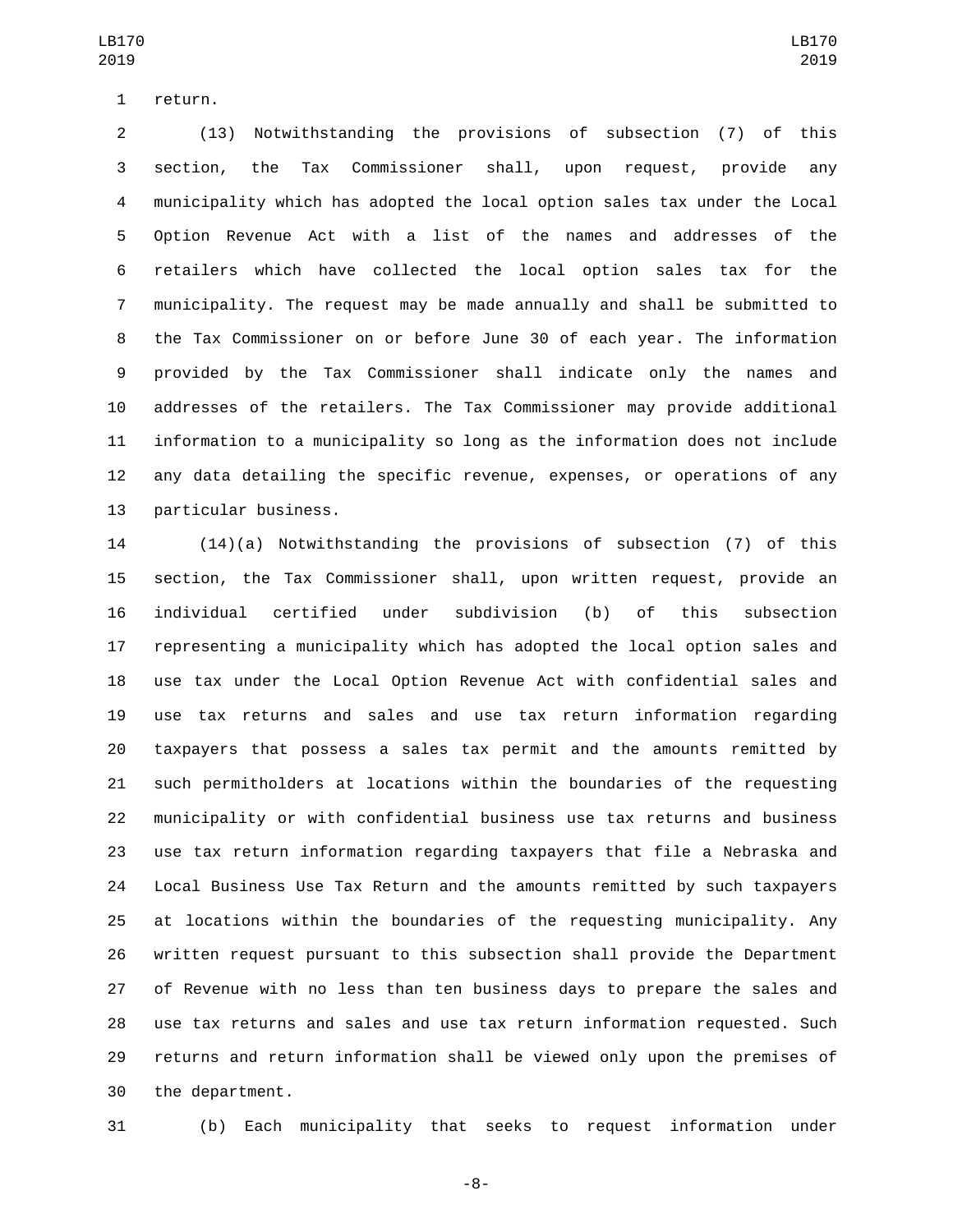1 return.

 (13) Notwithstanding the provisions of subsection (7) of this section, the Tax Commissioner shall, upon request, provide any municipality which has adopted the local option sales tax under the Local Option Revenue Act with a list of the names and addresses of the retailers which have collected the local option sales tax for the municipality. The request may be made annually and shall be submitted to the Tax Commissioner on or before June 30 of each year. The information provided by the Tax Commissioner shall indicate only the names and addresses of the retailers. The Tax Commissioner may provide additional information to a municipality so long as the information does not include any data detailing the specific revenue, expenses, or operations of any 13 particular business.

 (14)(a) Notwithstanding the provisions of subsection (7) of this section, the Tax Commissioner shall, upon written request, provide an individual certified under subdivision (b) of this subsection representing a municipality which has adopted the local option sales and use tax under the Local Option Revenue Act with confidential sales and use tax returns and sales and use tax return information regarding taxpayers that possess a sales tax permit and the amounts remitted by such permitholders at locations within the boundaries of the requesting municipality or with confidential business use tax returns and business use tax return information regarding taxpayers that file a Nebraska and Local Business Use Tax Return and the amounts remitted by such taxpayers at locations within the boundaries of the requesting municipality. Any written request pursuant to this subsection shall provide the Department of Revenue with no less than ten business days to prepare the sales and use tax returns and sales and use tax return information requested. Such returns and return information shall be viewed only upon the premises of 30 the department.

(b) Each municipality that seeks to request information under

-8-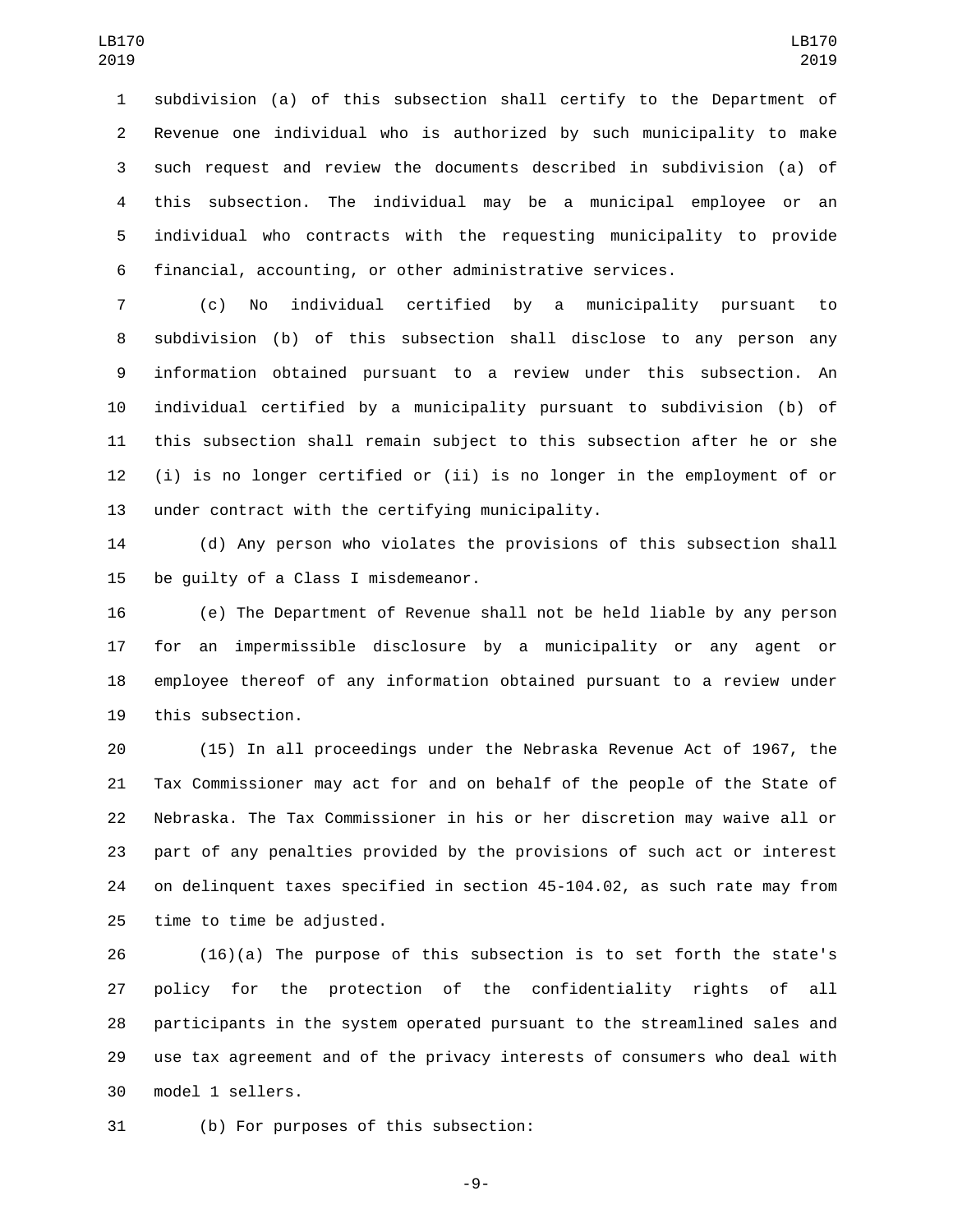subdivision (a) of this subsection shall certify to the Department of Revenue one individual who is authorized by such municipality to make such request and review the documents described in subdivision (a) of this subsection. The individual may be a municipal employee or an individual who contracts with the requesting municipality to provide financial, accounting, or other administrative services.

 (c) No individual certified by a municipality pursuant to subdivision (b) of this subsection shall disclose to any person any information obtained pursuant to a review under this subsection. An individual certified by a municipality pursuant to subdivision (b) of this subsection shall remain subject to this subsection after he or she (i) is no longer certified or (ii) is no longer in the employment of or 13 under contract with the certifying municipality.

 (d) Any person who violates the provisions of this subsection shall 15 be quilty of a Class I misdemeanor.

 (e) The Department of Revenue shall not be held liable by any person for an impermissible disclosure by a municipality or any agent or employee thereof of any information obtained pursuant to a review under 19 this subsection.

 (15) In all proceedings under the Nebraska Revenue Act of 1967, the Tax Commissioner may act for and on behalf of the people of the State of Nebraska. The Tax Commissioner in his or her discretion may waive all or part of any penalties provided by the provisions of such act or interest on delinquent taxes specified in section 45-104.02, as such rate may from 25 time to time be adjusted.

 (16)(a) The purpose of this subsection is to set forth the state's policy for the protection of the confidentiality rights of all participants in the system operated pursuant to the streamlined sales and use tax agreement and of the privacy interests of consumers who deal with 30 model 1 sellers.

31 (b) For purposes of this subsection:

-9-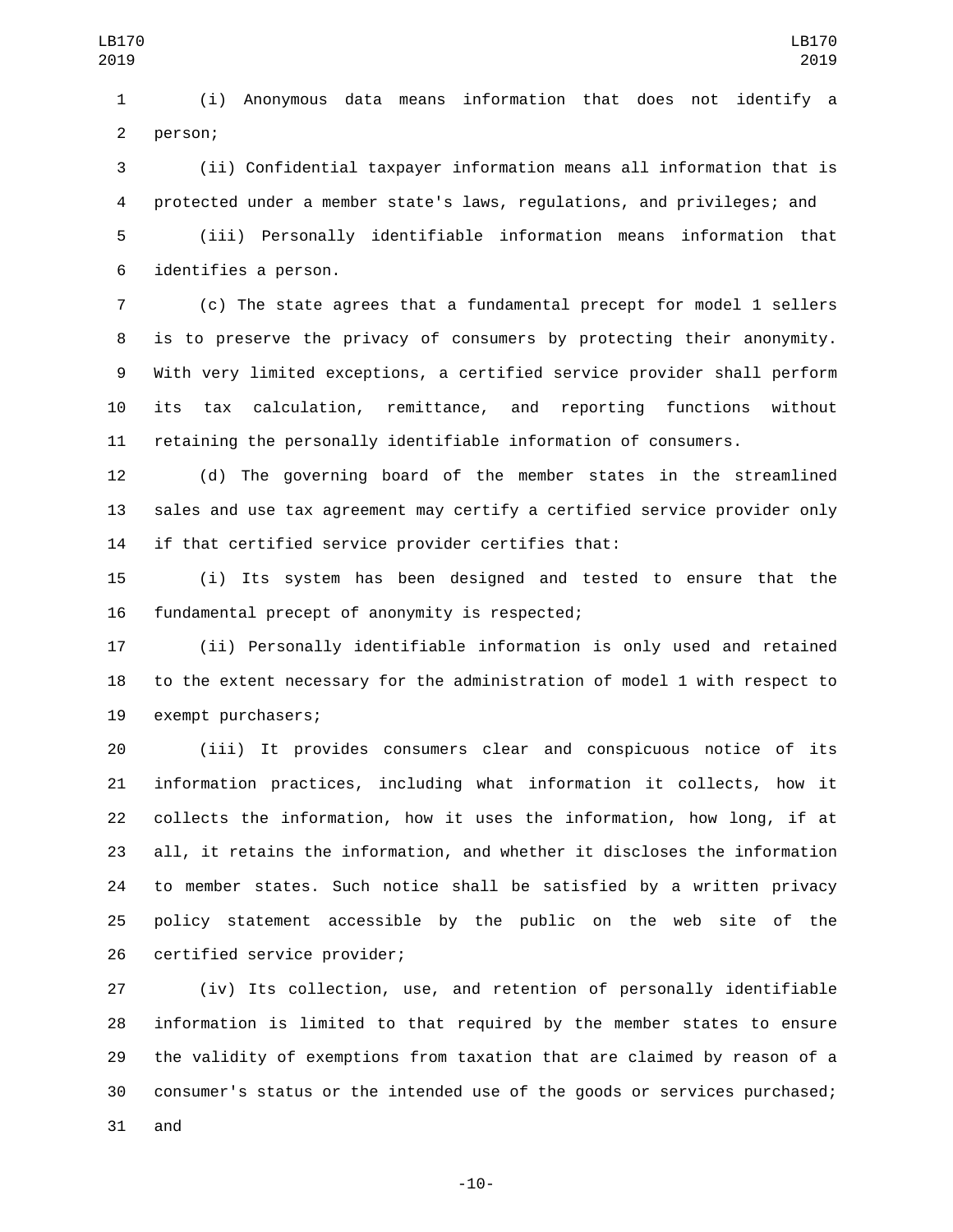(i) Anonymous data means information that does not identify a 2 person;

 (ii) Confidential taxpayer information means all information that is protected under a member state's laws, regulations, and privileges; and

 (iii) Personally identifiable information means information that 6 identifies a person.

 (c) The state agrees that a fundamental precept for model 1 sellers is to preserve the privacy of consumers by protecting their anonymity. With very limited exceptions, a certified service provider shall perform its tax calculation, remittance, and reporting functions without retaining the personally identifiable information of consumers.

 (d) The governing board of the member states in the streamlined sales and use tax agreement may certify a certified service provider only if that certified service provider certifies that:

 (i) Its system has been designed and tested to ensure that the 16 fundamental precept of anonymity is respected;

 (ii) Personally identifiable information is only used and retained to the extent necessary for the administration of model 1 with respect to 19 exempt purchasers;

 (iii) It provides consumers clear and conspicuous notice of its information practices, including what information it collects, how it collects the information, how it uses the information, how long, if at all, it retains the information, and whether it discloses the information to member states. Such notice shall be satisfied by a written privacy policy statement accessible by the public on the web site of the 26 certified service provider;

 (iv) Its collection, use, and retention of personally identifiable information is limited to that required by the member states to ensure the validity of exemptions from taxation that are claimed by reason of a consumer's status or the intended use of the goods or services purchased; and

-10-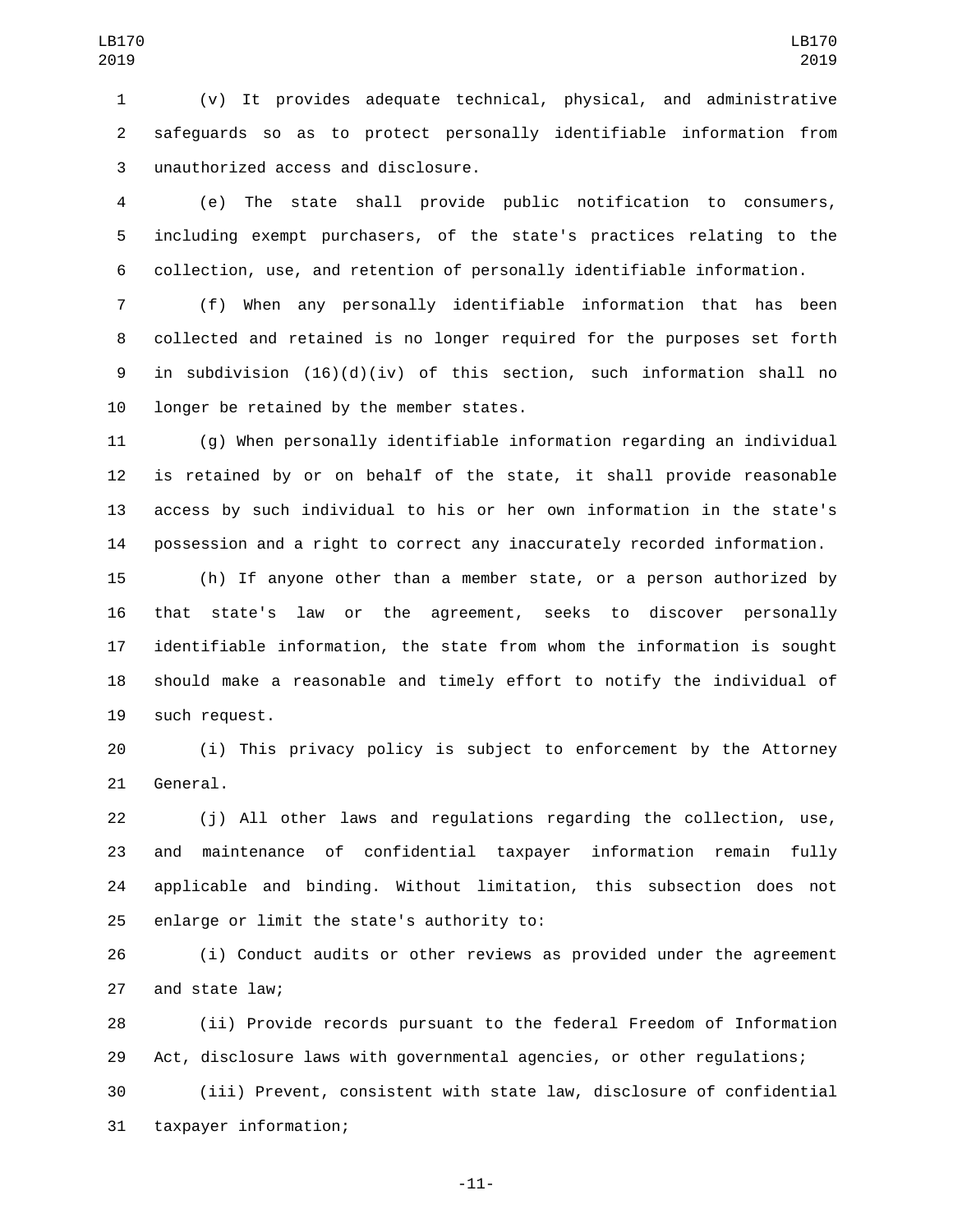(v) It provides adequate technical, physical, and administrative safeguards so as to protect personally identifiable information from unauthorized access and disclosure.3

 (e) The state shall provide public notification to consumers, including exempt purchasers, of the state's practices relating to the collection, use, and retention of personally identifiable information.

 (f) When any personally identifiable information that has been collected and retained is no longer required for the purposes set forth in subdivision (16)(d)(iv) of this section, such information shall no 10 longer be retained by the member states.

 (g) When personally identifiable information regarding an individual is retained by or on behalf of the state, it shall provide reasonable access by such individual to his or her own information in the state's possession and a right to correct any inaccurately recorded information.

 (h) If anyone other than a member state, or a person authorized by that state's law or the agreement, seeks to discover personally identifiable information, the state from whom the information is sought should make a reasonable and timely effort to notify the individual of 19 such request.

 (i) This privacy policy is subject to enforcement by the Attorney 21 General.

 (j) All other laws and regulations regarding the collection, use, and maintenance of confidential taxpayer information remain fully applicable and binding. Without limitation, this subsection does not 25 enlarge or limit the state's authority to:

 (i) Conduct audits or other reviews as provided under the agreement 27 and state law;

 (ii) Provide records pursuant to the federal Freedom of Information Act, disclosure laws with governmental agencies, or other regulations;

 (iii) Prevent, consistent with state law, disclosure of confidential 31 taxpayer information;

-11-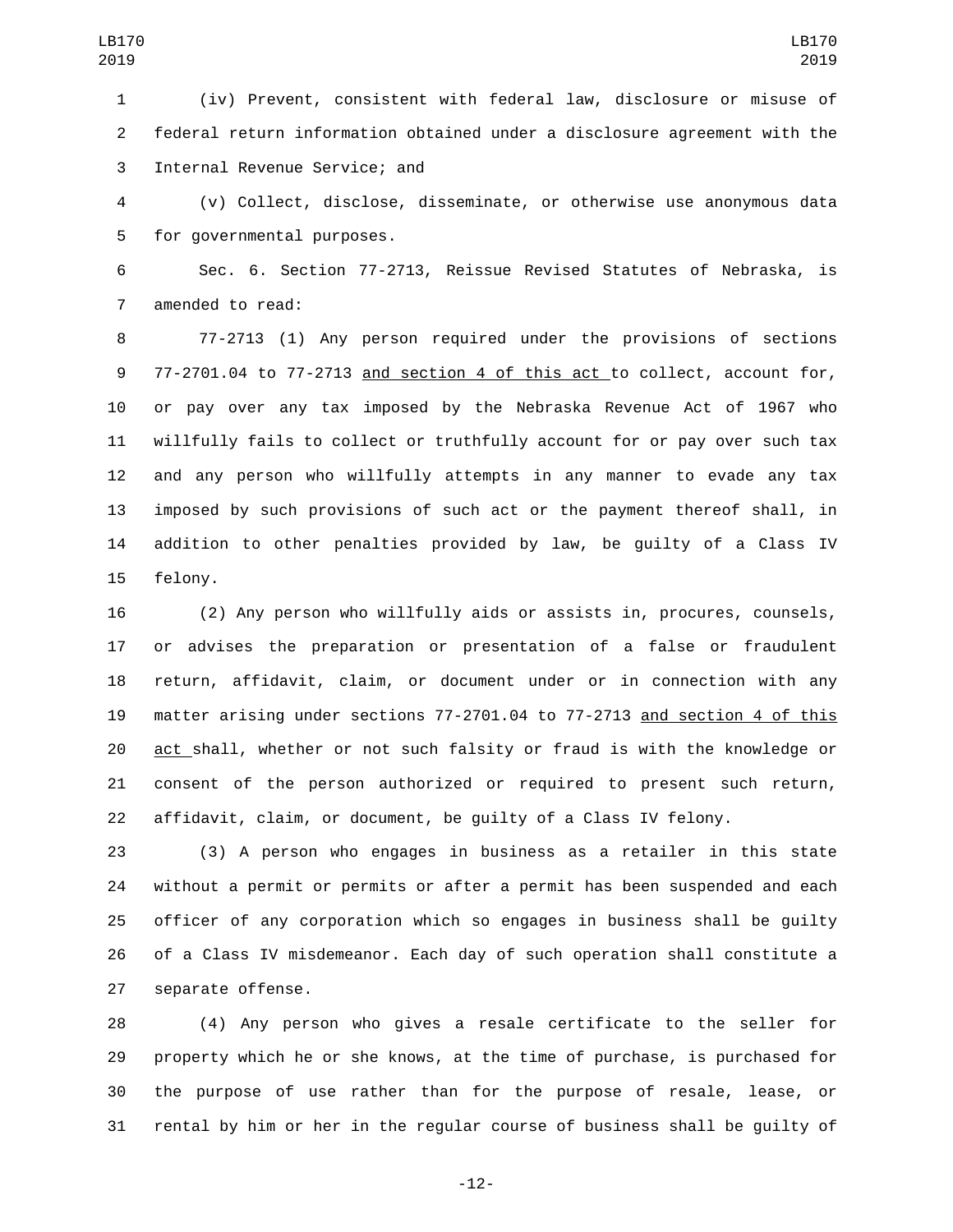(iv) Prevent, consistent with federal law, disclosure or misuse of federal return information obtained under a disclosure agreement with the 3 Internal Revenue Service; and

 (v) Collect, disclose, disseminate, or otherwise use anonymous data 5 for governmental purposes.

 Sec. 6. Section 77-2713, Reissue Revised Statutes of Nebraska, is 7 amended to read:

 77-2713 (1) Any person required under the provisions of sections 77-2701.04 to 77-2713 and section 4 of this act to collect, account for, or pay over any tax imposed by the Nebraska Revenue Act of 1967 who willfully fails to collect or truthfully account for or pay over such tax and any person who willfully attempts in any manner to evade any tax imposed by such provisions of such act or the payment thereof shall, in addition to other penalties provided by law, be guilty of a Class IV 15 felony.

 (2) Any person who willfully aids or assists in, procures, counsels, or advises the preparation or presentation of a false or fraudulent return, affidavit, claim, or document under or in connection with any matter arising under sections 77-2701.04 to 77-2713 and section 4 of this act shall, whether or not such falsity or fraud is with the knowledge or consent of the person authorized or required to present such return, affidavit, claim, or document, be guilty of a Class IV felony.

 (3) A person who engages in business as a retailer in this state without a permit or permits or after a permit has been suspended and each officer of any corporation which so engages in business shall be guilty of a Class IV misdemeanor. Each day of such operation shall constitute a 27 separate offense.

 (4) Any person who gives a resale certificate to the seller for property which he or she knows, at the time of purchase, is purchased for the purpose of use rather than for the purpose of resale, lease, or rental by him or her in the regular course of business shall be guilty of

-12-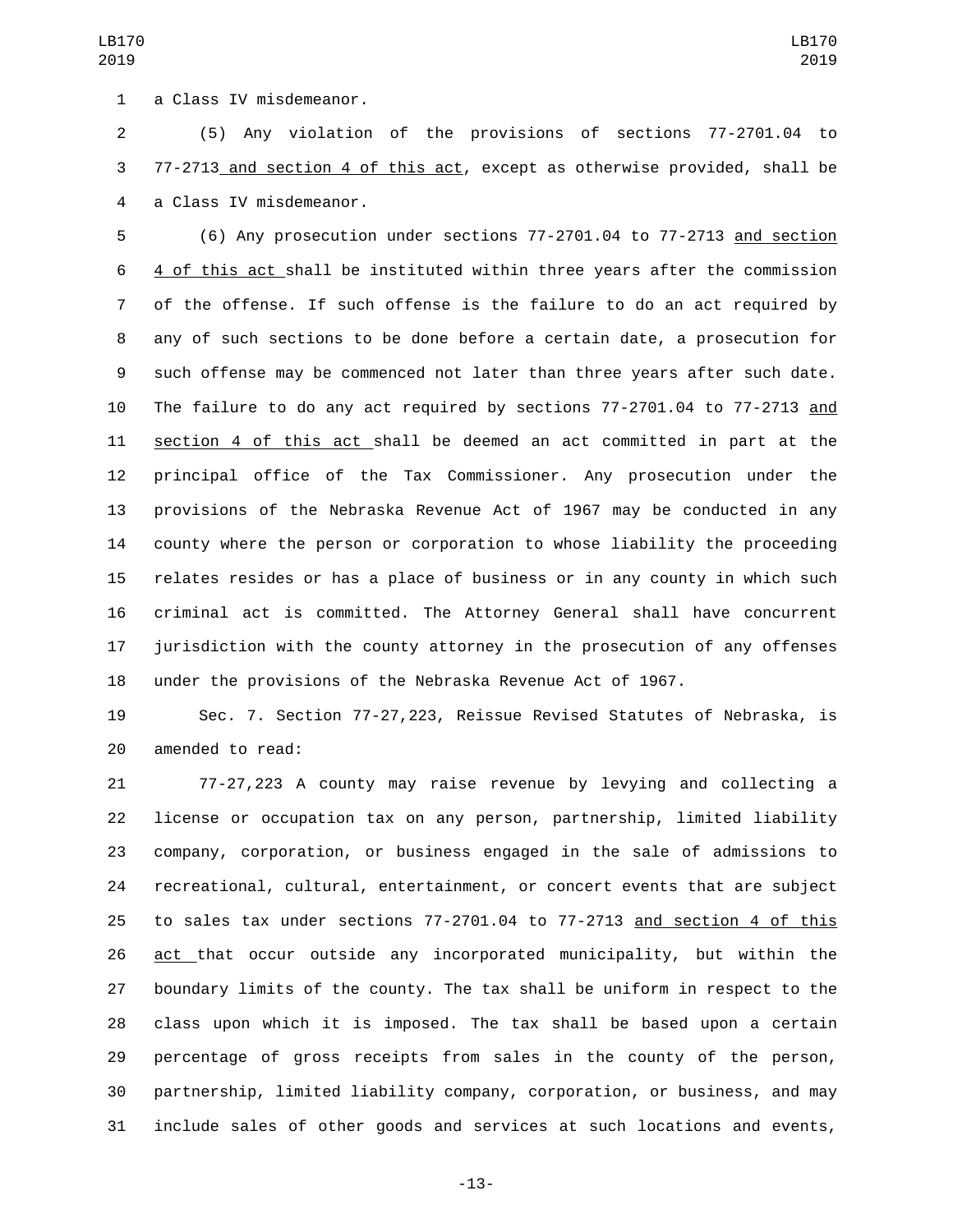1 a Class IV misdemeanor.

 (5) Any violation of the provisions of sections 77-2701.04 to 77-2713 and section 4 of this act, except as otherwise provided, shall be 4 a Class IV misdemeanor.

 (6) Any prosecution under sections 77-2701.04 to 77-2713 and section 4 of this act shall be instituted within three years after the commission of the offense. If such offense is the failure to do an act required by any of such sections to be done before a certain date, a prosecution for such offense may be commenced not later than three years after such date. The failure to do any act required by sections 77-2701.04 to 77-2713 and section 4 of this act shall be deemed an act committed in part at the principal office of the Tax Commissioner. Any prosecution under the provisions of the Nebraska Revenue Act of 1967 may be conducted in any county where the person or corporation to whose liability the proceeding relates resides or has a place of business or in any county in which such criminal act is committed. The Attorney General shall have concurrent jurisdiction with the county attorney in the prosecution of any offenses under the provisions of the Nebraska Revenue Act of 1967.

 Sec. 7. Section 77-27,223, Reissue Revised Statutes of Nebraska, is 20 amended to read:

 77-27,223 A county may raise revenue by levying and collecting a license or occupation tax on any person, partnership, limited liability company, corporation, or business engaged in the sale of admissions to recreational, cultural, entertainment, or concert events that are subject to sales tax under sections 77-2701.04 to 77-2713 and section 4 of this act that occur outside any incorporated municipality, but within the boundary limits of the county. The tax shall be uniform in respect to the class upon which it is imposed. The tax shall be based upon a certain percentage of gross receipts from sales in the county of the person, partnership, limited liability company, corporation, or business, and may include sales of other goods and services at such locations and events,

-13-